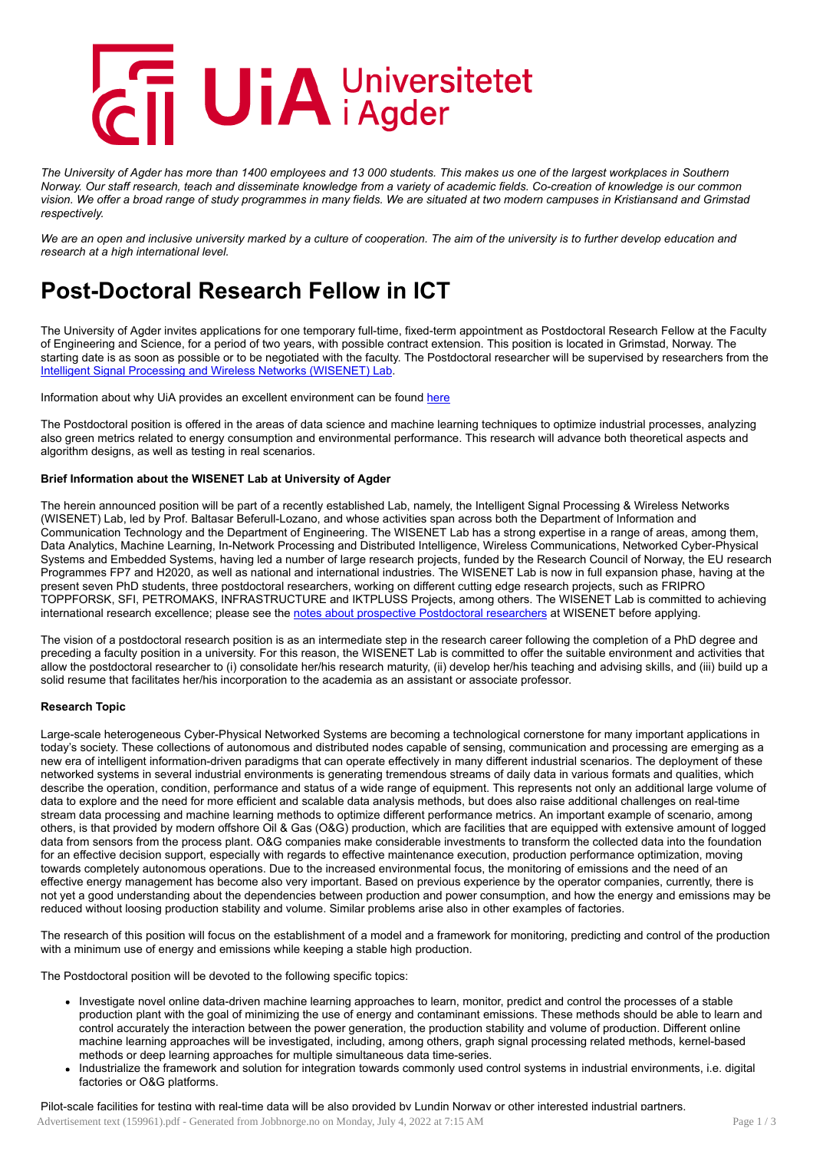

The University of Agder has more than 1400 employees and 13 000 students. This makes us one of the largest workplaces in Southern Norway. Our staff research, teach and disseminate knowledge from a variety of academic fields. Co-creation of knowledge is our common vision. We offer a broad range of study programmes in many fields. We are situated at two modern campuses in Kristiansand and Grimstad *respectively.*

We are an open and inclusive university marked by a culture of cooperation. The aim of the university is to further develop education and *research at a high international level.*

# Post-Doctoral Research Fellow in ICT

The University of Agder invites applications for one temporary full-time, fixed-term appointment as Postdoctoral Research Fellow at the Faculty of Engineering and Science, for a period of two years, with possible contract extension. This position is located in Grimstad, Norway. The starting date is as soon as possible or to be negotiated with the faculty. The Postdoctoral researcher will be supervised by researchers from the Intelligent Signal Processing and Wireless Networks [\(WISENET\)](http://wisenet.uia.no/) Lab.

Information about why UiA provides an excellent environment can be found [here](https://www.uia.no/en/prosjekt/25-things-we-are-especially-proud-of-at-the-university-of-agder)

The Postdoctoral position is offered in the areas of data science and machine learning techniques to optimize industrial processes, analyzing also green metrics related to energy consumption and environmental performance. This research will advance both theoretical aspects and algorithm designs, as well as testing in real scenarios.

# Brief Information about the WISENET Lab at University of Agder

The herein announced position will be part of a recently established Lab, namely, the Intelligent Signal Processing & Wireless Networks (WISENET) Lab, led by Prof. Baltasar Beferull-Lozano, and whose activities span across both the Department of Information and Communication Technology and the Department of Engineering. The WISENET Lab has a strong expertise in a range of areas, among them, Data Analytics, Machine Learning, In-Network Processing and Distributed Intelligence, Wireless Communications, Networked Cyber-Physical Systems and Embedded Systems, having led a number of large research projects, funded by the Research Council of Norway, the EU research Programmes FP7 and H2020, as well as national and international industries. The WISENET Lab is now in full expansion phase, having at the present seven PhD students, three postdoctoral researchers, working on different cutting edge research projects, such as FRIPRO TOPPFORSK, SFI, PETROMAKS, INFRASTRUCTURE and IKTPLUSS Projects, among others. The WISENET Lab is committed to achieving international research excellence; please see the notes about prospective [Postdoctoral](http://wisenet.uia.no/?page_id=363) researchers at WISENET before applying.

The vision of a postdoctoral research position is as an intermediate step in the research career following the completion of a PhD degree and preceding a faculty position in a university. For this reason, the WISENET Lab is committed to offer the suitable environment and activities that allow the postdoctoral researcher to (i) consolidate her/his research maturity, (ii) develop her/his teaching and advising skills, and (iii) build up a solid resume that facilitates her/his incorporation to the academia as an assistant or associate professor.

# Research Topic

Large-scale heterogeneous Cyber-Physical Networked Systems are becoming a technological cornerstone for many important applications in today's society. These collections of autonomous and distributed nodes capable of sensing, communication and processing are emerging as a new era of intelligent information-driven paradigms that can operate effectively in many different industrial scenarios. The deployment of these networked systems in several industrial environments is generating tremendous streams of daily data in various formats and qualities, which describe the operation, condition, performance and status of a wide range of equipment. This represents not only an additional large volume of data to explore and the need for more efficient and scalable data analysis methods, but does also raise additional challenges on real-time stream data processing and machine learning methods to optimize different performance metrics. An important example of scenario, among others, is that provided by modern offshore Oil & Gas (O&G) production, which are facilities that are equipped with extensive amount of logged data from sensors from the process plant. O&G companies make considerable investments to transform the collected data into the foundation for an effective decision support, especially with regards to effective maintenance execution, production performance optimization, moving towards completely autonomous operations. Due to the increased environmental focus, the monitoring of emissions and the need of an effective energy management has become also very important. Based on previous experience by the operator companies, currently, there is not yet a good understanding about the dependencies between production and power consumption, and how the energy and emissions may be reduced without loosing production stability and volume. Similar problems arise also in other examples of factories.

The research of this position will focus on the establishment of a model and a framework for monitoring, predicting and control of the production with a minimum use of energy and emissions while keeping a stable high production.

The Postdoctoral position will be devoted to the following specific topics:

- Investigate novel online data-driven machine learning approaches to learn, monitor, predict and control the processes of a stable production plant with the goal of minimizing the use of energy and contaminant emissions. These methods should be able to learn and control accurately the interaction between the power generation, the production stability and volume of production. Different online machine learning approaches will be investigated, including, among others, graph signal processing related methods, kernel-based methods or deep learning approaches for multiple simultaneous data time-series.
- Industrialize the framework and solution for integration towards commonly used control systems in industrial environments, i.e. digital factories or O&G platforms.

Pilot-scale facilities for testing with real-time data will be also provided by Lundin Norway or other interested industrial partners.

Advertisement text (159961).pdf - Generated from Jobbnorge.no on Monday, July 4, 2022 at 7:15 AM Page 1 / 3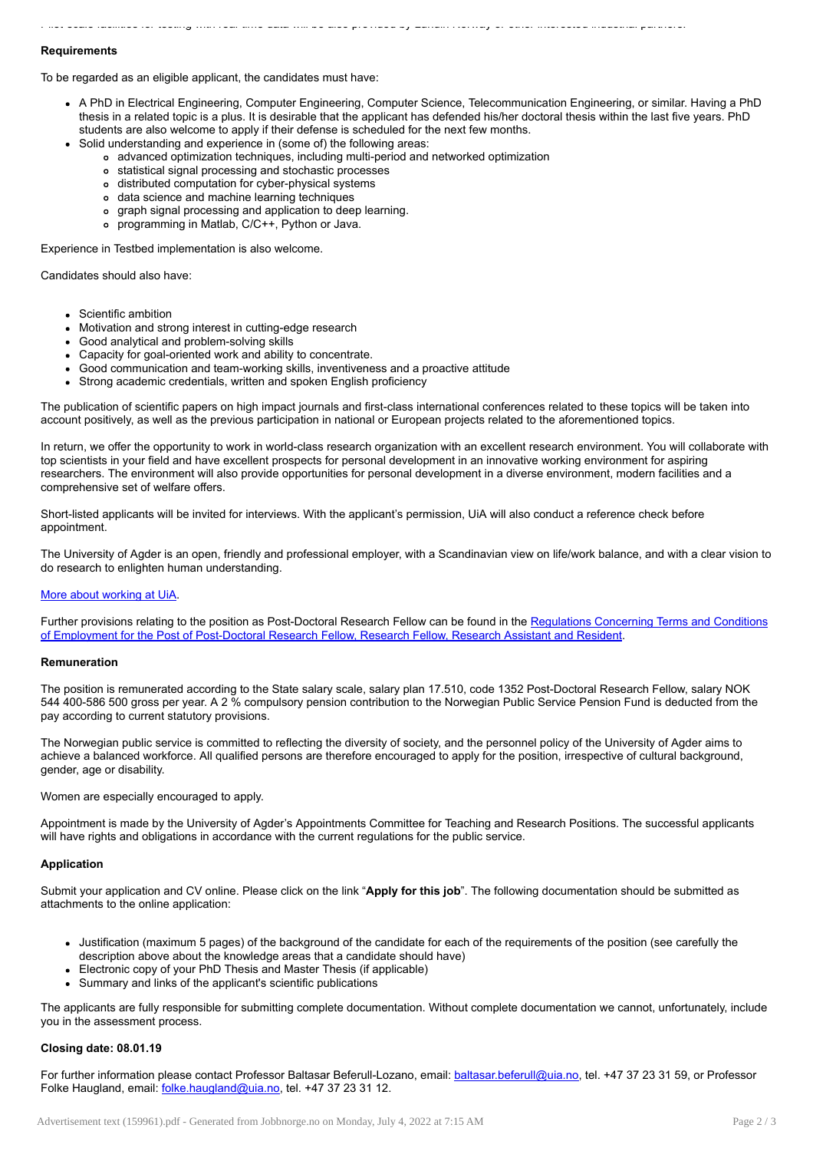## **Requirements**

To be regarded as an eligible applicant, the candidates must have:

- A PhD in Electrical Engineering, Computer Engineering, Computer Science, Telecommunication Engineering, or similar. Having a PhD thesis in a related topic is a plus. It is desirable that the applicant has defended his/her doctoral thesis within the last five years. PhD students are also welcome to apply if their defense is scheduled for the next few months.
	- Solid understanding and experience in (some of) the following areas:
		- advanced optimization techniques, including multi-period and networked optimization

Pilot-scale facilities for testing with real-time data will be also provided by Lundin Norway or other interested industrial partners.

- statistical signal processing and stochastic processes
- distributed computation for cyber-physical systems
- data science and machine learning techniques
- graph signal processing and application to deep learning.
- programming in Matlab, C/C++, Python or Java.

Experience in Testbed implementation is also welcome.

Candidates should also have:

- Scientific ambition
- Motivation and strong interest in cutting-edge research
- Good analytical and problem-solving skills
- Capacity for goal-oriented work and ability to concentrate.
- Good communication and team-working skills, inventiveness and a proactive attitude
- Strong academic credentials, written and spoken English proficiency

The publication of scientific papers on high impact journals and first-class international conferences related to these topics will be taken into account positively, as well as the previous participation in national or European projects related to the aforementioned topics.

In return, we offer the opportunity to work in world-class research organization with an excellent research environment. You will collaborate with top scientists in your field and have excellent prospects for personal development in an innovative working environment for aspiring researchers. The environment will also provide opportunities for personal development in a diverse environment, modern facilities and a comprehensive set of welfare offers.

Short-listed applicants will be invited for interviews. With the applicant's permission, UiA will also conduct a reference check before appointment.

The University of Agder is an open, friendly and professional employer, with a Scandinavian view on life/work balance, and with a clear vision to do research to enlighten human understanding.

## More about [working](https://www.uia.no/en/about-uia/working-at-uia) at UiA.

Further provisions relating to the position as [Post-Doctoral](https://www.uhr.no/_f/p1/i83a1e613-4f72-4e3a-9852-5289d556871b/regulations_post_doctoral_and_research_fellow.pdf) Research Fellow can be found in the Regulations Concerning Terms and Conditions of Employment for the Post of Post-Doctoral Research Fellow, Research Fellow, Research Assistant and Resident.

#### Remuneration

The position is remunerated according to the State salary scale, salary plan 17.510, code 1352 Post-Doctoral Research Fellow, salary NOK 544 400-586 500 gross per year. A 2 % compulsory pension contribution to the Norwegian Public Service Pension Fund is deducted from the pay according to current statutory provisions.

The Norwegian public service is committed to reflecting the diversity of society, and the personnel policy of the University of Agder aims to achieve a balanced workforce. All qualified persons are therefore encouraged to apply for the position, irrespective of cultural background, gender, age or disability.

Women are especially encouraged to apply.

Appointment is made by the University of Agder's Appointments Committee for Teaching and Research Positions. The successful applicants will have rights and obligations in accordance with the current regulations for the public service.

#### Application

Submit your application and CV online. Please click on the link "Apply for this job". The following documentation should be submitted as attachments to the online application:

- Justification (maximum 5 pages) of the background of the candidate for each of the requirements of the position (see carefully the description above about the knowledge areas that a candidate should have)
- Electronic copy of your PhD Thesis and Master Thesis (if applicable)
- Summary and links of the applicant's scientific publications

The applicants are fully responsible for submitting complete documentation. Without complete documentation we cannot, unfortunately, include you in the assessment process.

## Closing date: 08.01.19

For further information please contact Professor Baltasar Beferull-Lozano, email: [baltasar.beferull@uia.no](mailto:baltasar.beferull@uia.no), tel. +47 37 23 31 59, or Professor Folke Haugland, email: [folke.haugland@uia.no,](mailto:folke.haugland@uia.no) tel. +47 37 23 31 12.